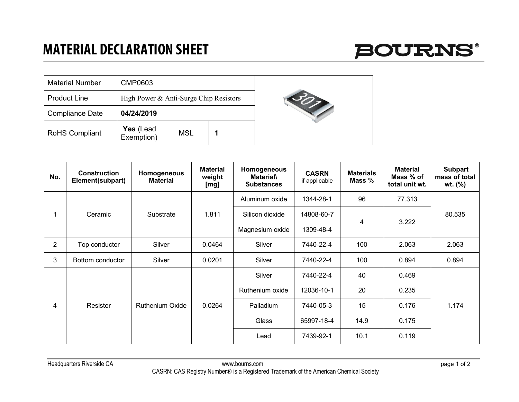## **MATERIAL DECLARATION SHEET**



| <b>Material Number</b> | CMP0603                                |            |  |  |
|------------------------|----------------------------------------|------------|--|--|
| <b>Product Line</b>    | High Power & Anti-Surge Chip Resistors |            |  |  |
| <b>Compliance Date</b> | 04/24/2019                             |            |  |  |
| <b>RoHS Compliant</b>  | Yes (Lead<br>Exemption)                | <b>MSL</b> |  |  |



| No.            | <b>Construction</b><br>Element(subpart) | Homogeneous<br><b>Material</b> | <b>Material</b><br>weight<br>[mg] | Homogeneous<br><b>Material</b><br><b>Substances</b> | <b>CASRN</b><br>if applicable | <b>Materials</b><br>Mass % | <b>Material</b><br>Mass % of<br>total unit wt. | <b>Subpart</b><br>mass of total<br>wt. (%) |
|----------------|-----------------------------------------|--------------------------------|-----------------------------------|-----------------------------------------------------|-------------------------------|----------------------------|------------------------------------------------|--------------------------------------------|
|                | Ceramic                                 | Substrate                      | 1.811                             | Aluminum oxide                                      | 1344-28-1                     | 96                         | 77.313                                         | 80.535                                     |
|                |                                         |                                |                                   | Silicon dioxide                                     | 14808-60-7                    | 4                          | 3.222                                          |                                            |
|                |                                         |                                |                                   | Magnesium oxide                                     | 1309-48-4                     |                            |                                                |                                            |
| $\overline{2}$ | Top conductor                           | Silver                         | 0.0464                            | Silver                                              | 7440-22-4                     | 100                        | 2.063                                          | 2.063                                      |
| 3              | Bottom conductor                        | Silver                         | 0.0201                            | Silver                                              | 7440-22-4                     | 100                        | 0.894                                          | 0.894                                      |
| 4              | Resistor                                | <b>Ruthenium Oxide</b>         | 0.0264                            | Silver                                              | 7440-22-4                     | 40                         | 0.469                                          | 1.174                                      |
|                |                                         |                                |                                   | Ruthenium oxide                                     | 12036-10-1                    | 20                         | 0.235                                          |                                            |
|                |                                         |                                |                                   | Palladium                                           | 7440-05-3                     | 15                         | 0.176                                          |                                            |
|                |                                         |                                |                                   | Glass                                               | 65997-18-4                    | 14.9                       | 0.175                                          |                                            |
|                |                                         |                                |                                   | Lead                                                | 7439-92-1                     | 10.1                       | 0.119                                          |                                            |